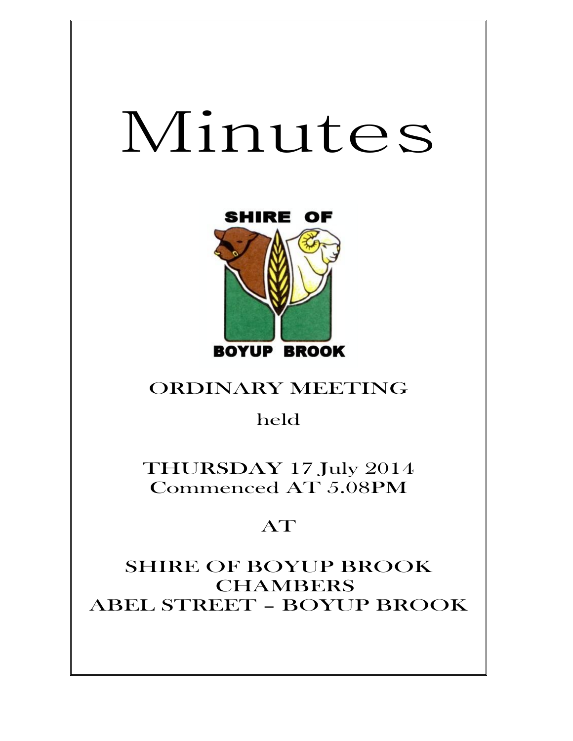# Minutes



# ORDINARY MEETING

held

THURSDAY 17 July 2014 Commenced AT 5.08PM

# AT

SHIRE OF BOYUP BROOK CHAMBERS ABEL STREET – BOYUP BROOK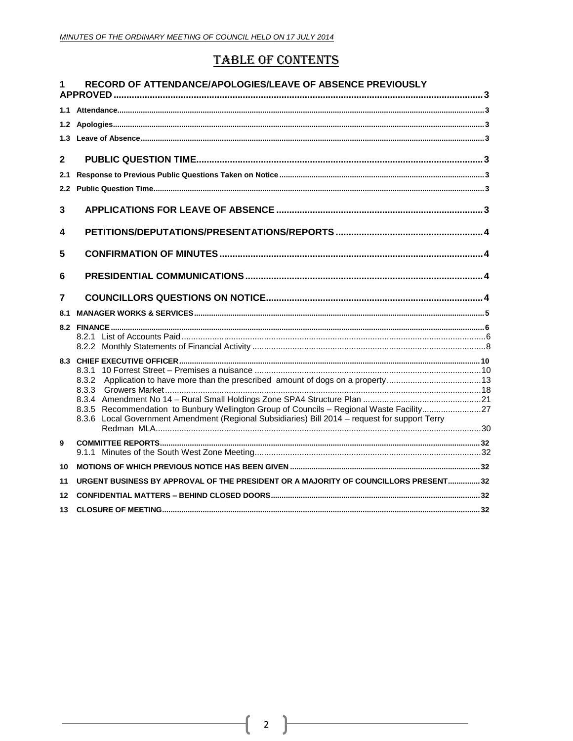# **TABLE OF CONTENTS**

| 1            | RECORD OF ATTENDANCE/APOLOGIES/LEAVE OF ABSENCE PREVIOUSLY                                     |  |
|--------------|------------------------------------------------------------------------------------------------|--|
|              |                                                                                                |  |
|              |                                                                                                |  |
|              |                                                                                                |  |
|              |                                                                                                |  |
| $\mathbf{2}$ |                                                                                                |  |
| 2.1          |                                                                                                |  |
| 2.2          |                                                                                                |  |
| 3            |                                                                                                |  |
| 4            |                                                                                                |  |
| 5            |                                                                                                |  |
| 6            |                                                                                                |  |
| 7            |                                                                                                |  |
| 8.1          |                                                                                                |  |
|              |                                                                                                |  |
|              |                                                                                                |  |
|              |                                                                                                |  |
|              | 8.3.1 10 Forrest Street – Premises a nuisance …………………………………………………………………………………………10             |  |
|              |                                                                                                |  |
|              |                                                                                                |  |
|              | 8.3.5 Recommendation to Bunbury Wellington Group of Councils - Regional Waste Facility27       |  |
|              | 8.3.6 Local Government Amendment (Regional Subsidiaries) Bill 2014 - request for support Terry |  |
|              |                                                                                                |  |
| 9            |                                                                                                |  |
| 10           |                                                                                                |  |
| 11           | URGENT BUSINESS BY APPROVAL OF THE PRESIDENT OR A MAJORITY OF COUNCILLORS PRESENT32            |  |
| 12           |                                                                                                |  |
| 13           |                                                                                                |  |
|              |                                                                                                |  |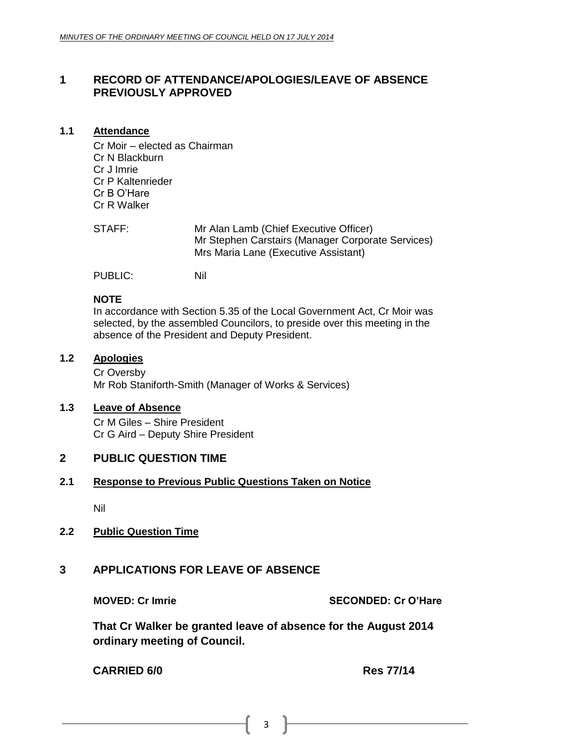# <span id="page-2-0"></span>**1 RECORD OF ATTENDANCE/APOLOGIES/LEAVE OF ABSENCE PREVIOUSLY APPROVED**

# <span id="page-2-1"></span>**1.1 Attendance**

Cr Moir – elected as Chairman Cr N Blackburn Cr J Imrie Cr P Kaltenrieder Cr B O'Hare Cr R Walker

| STAFF: | Mr Alan Lamb (Chief Executive Officer)            |
|--------|---------------------------------------------------|
|        | Mr Stephen Carstairs (Manager Corporate Services) |
|        | Mrs Maria Lane (Executive Assistant)              |

PUBLIC: Nil

# **NOTE**

In accordance with Section 5.35 of the Local Government Act, Cr Moir was selected, by the assembled Councilors, to preside over this meeting in the absence of the President and Deputy President.

# <span id="page-2-2"></span>**1.2 Apologies**

Cr Oversby Mr Rob Staniforth-Smith (Manager of Works & Services)

# <span id="page-2-3"></span>**1.3 Leave of Absence**

Cr M Giles – Shire President Cr G Aird – Deputy Shire President

# <span id="page-2-4"></span>**2 PUBLIC QUESTION TIME**

# <span id="page-2-5"></span>**2.1 Response to Previous Public Questions Taken on Notice**

Nil

# <span id="page-2-6"></span>**2.2 Public Question Time**

# <span id="page-2-7"></span>**3 APPLICATIONS FOR LEAVE OF ABSENCE**

**MOVED: Cr Imrie SECONDED: Cr O'Hare**

**That Cr Walker be granted leave of absence for the August 2014 ordinary meeting of Council.**

**CARRIED 6/0 Res 77/14**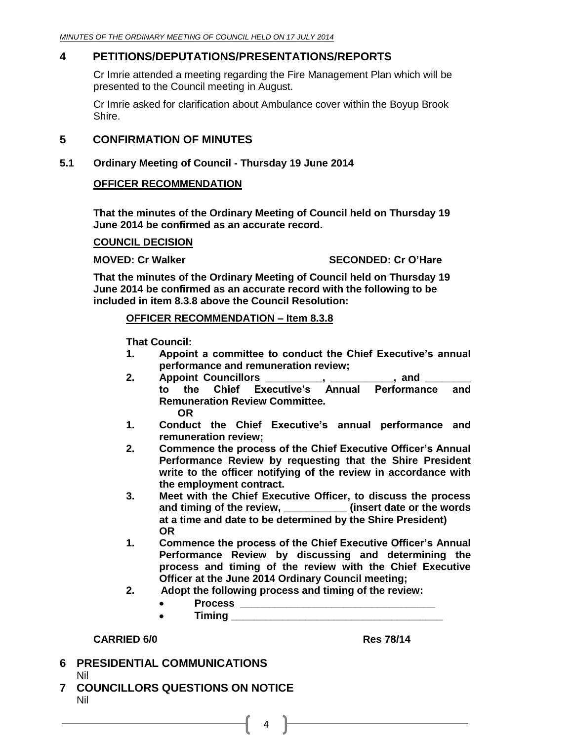# <span id="page-3-0"></span>**4 PETITIONS/DEPUTATIONS/PRESENTATIONS/REPORTS**

Cr Imrie attended a meeting regarding the Fire Management Plan which will be presented to the Council meeting in August.

Cr Imrie asked for clarification about Ambulance cover within the Boyup Brook Shire.

# <span id="page-3-1"></span>**5 CONFIRMATION OF MINUTES**

**5.1 Ordinary Meeting of Council - Thursday 19 June 2014**

# **OFFICER RECOMMENDATION**

**That the minutes of the Ordinary Meeting of Council held on Thursday 19 June 2014 be confirmed as an accurate record.**

# **COUNCIL DECISION**

**MOVED: Cr Walker SECONDED: Cr O'Hare**

**That the minutes of the Ordinary Meeting of Council held on Thursday 19 June 2014 be confirmed as an accurate record with the following to be included in item 8.3.8 above the Council Resolution:**

# **OFFICER RECOMMENDATION – Item 8.3.8**

**That Council:**

- **1. Appoint a committee to conduct the Chief Executive's annual performance and remuneration review;**
- **2. Appoint Councillors \_\_\_\_\_\_\_\_\_\_, \_\_\_\_\_\_\_\_\_\_\_, and \_\_\_\_\_\_\_\_ to the Chief Executive's Annual Performance and Remuneration Review Committee. OR**
- **1. Conduct the Chief Executive's annual performance and remuneration review;**
- **2. Commence the process of the Chief Executive Officer's Annual Performance Review by requesting that the Shire President write to the officer notifying of the review in accordance with the employment contract.**
- **3. Meet with the Chief Executive Officer, to discuss the process and timing of the review, \_\_\_\_\_\_\_\_\_\_\_ (insert date or the words at a time and date to be determined by the Shire President) OR**
- **1. Commence the process of the Chief Executive Officer's Annual Performance Review by discussing and determining the process and timing of the review with the Chief Executive Officer at the June 2014 Ordinary Council meeting;**
- **2. Adopt the following process and timing of the review:**

 $4$ 

- **Process \_\_\_\_\_\_\_\_\_\_\_\_\_\_\_\_\_\_\_\_\_\_\_\_\_\_\_\_\_\_\_\_\_\_**
	- **Timing \_\_\_\_\_\_\_\_\_\_\_\_\_\_\_\_\_\_\_\_\_\_\_\_\_\_\_\_\_\_\_\_\_\_\_\_\_**

# **CARRIED 6/0 Res 78/14**

<span id="page-3-2"></span>**6 PRESIDENTIAL COMMUNICATIONS** Nil

 $\bullet$ 

<span id="page-3-3"></span>**7 COUNCILLORS QUESTIONS ON NOTICE** Nil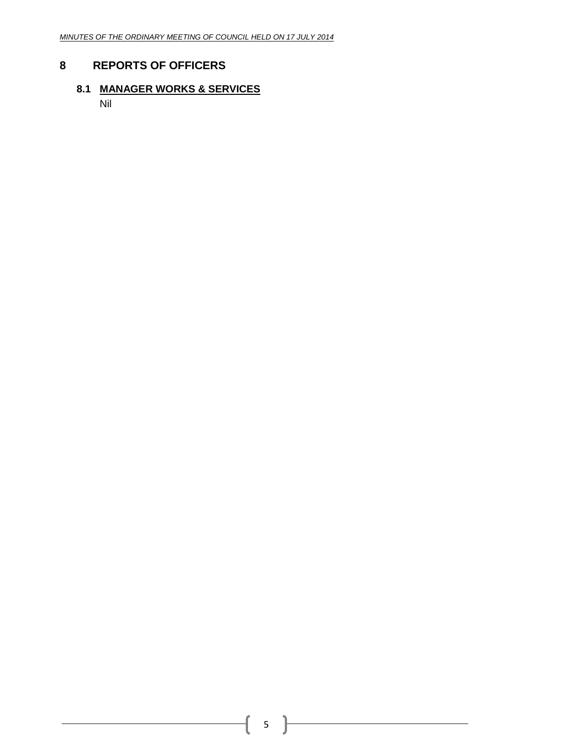# <span id="page-4-0"></span>**8 REPORTS OF OFFICERS**

# **8.1 MANAGER WORKS & SERVICES**

Nil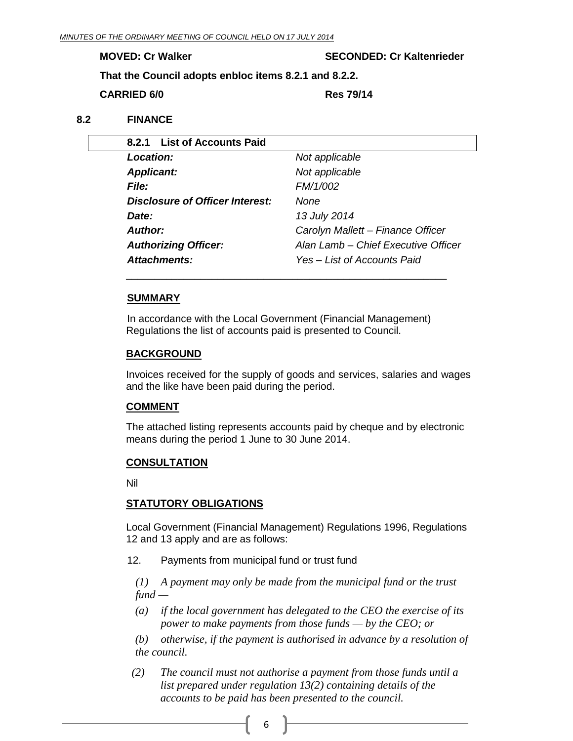**MOVED: Cr Walker SECONDED: Cr Kaltenrieder**

**That the Council adopts enbloc items 8.2.1 and 8.2.2.**

**CARRIED 6/0 Res 79/14**

# **8.2 FINANCE**

<span id="page-5-1"></span><span id="page-5-0"></span>

| 8.2.1 List of Accounts Paid     |                                     |
|---------------------------------|-------------------------------------|
| <b>Location:</b>                | Not applicable                      |
| <b>Applicant:</b>               | Not applicable                      |
| <i>File:</i>                    | FM/1/002                            |
| Disclosure of Officer Interest: | None                                |
| Date:                           | 13 July 2014                        |
| <b>Author:</b>                  | Carolyn Mallett - Finance Officer   |
| <b>Authorizing Officer:</b>     | Alan Lamb – Chief Executive Officer |
| <b>Attachments:</b>             | Yes - List of Accounts Paid         |

#### **SUMMARY**

In accordance with the Local Government (Financial Management) Regulations the list of accounts paid is presented to Council.

\_\_\_\_\_\_\_\_\_\_\_\_\_\_\_\_\_\_\_\_\_\_\_\_\_\_\_\_\_\_\_\_\_\_\_\_\_\_\_\_\_\_\_\_\_\_\_\_\_\_\_\_\_\_\_\_

#### **BACKGROUND**

Invoices received for the supply of goods and services, salaries and wages and the like have been paid during the period.

#### **COMMENT**

The attached listing represents accounts paid by cheque and by electronic means during the period 1 June to 30 June 2014.

#### **CONSULTATION**

Nil

# **STATUTORY OBLIGATIONS**

Local Government (Financial Management) Regulations 1996, Regulations 12 and 13 apply and are as follows:

12. Payments from municipal fund or trust fund

*(1) A payment may only be made from the municipal fund or the trust fund —*

*(a) if the local government has delegated to the CEO the exercise of its power to make payments from those funds — by the CEO; or*

*(b) otherwise, if the payment is authorised in advance by a resolution of the council.*

 *(2) The council must not authorise a payment from those funds until a list prepared under regulation 13(2) containing details of the accounts to be paid has been presented to the council.*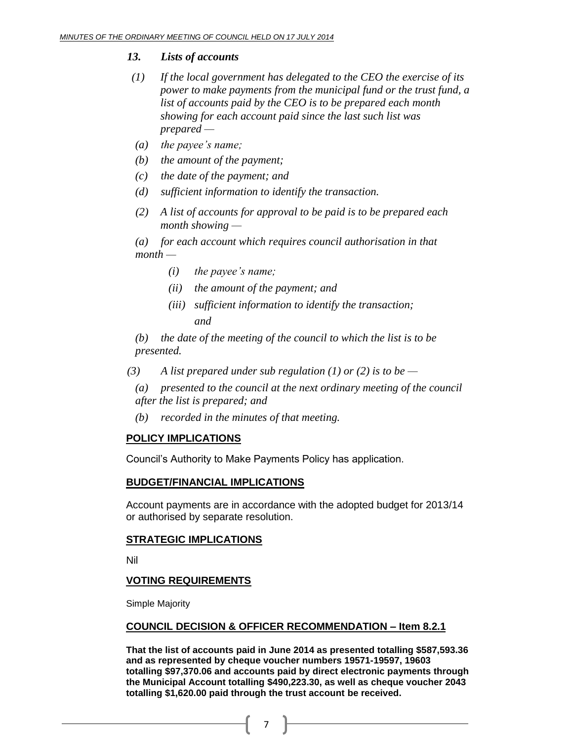# *13. Lists of accounts*

- *(1) If the local government has delegated to the CEO the exercise of its power to make payments from the municipal fund or the trust fund, a list of accounts paid by the CEO is to be prepared each month showing for each account paid since the last such list was prepared —*
- *(a) the payee's name;*
- *(b) the amount of the payment;*
- *(c) the date of the payment; and*
- *(d) sufficient information to identify the transaction.*
- *(2) A list of accounts for approval to be paid is to be prepared each month showing —*

*(a) for each account which requires council authorisation in that month —*

- *(i) the payee's name;*
- *(ii) the amount of the payment; and*
- *(iii) sufficient information to identify the transaction; and*

*(b) the date of the meeting of the council to which the list is to be presented.*

- *(3) A list prepared under sub regulation (1) or (2) is to be —*
	- *(a) presented to the council at the next ordinary meeting of the council after the list is prepared; and*
	- *(b) recorded in the minutes of that meeting.*

# **POLICY IMPLICATIONS**

Council's Authority to Make Payments Policy has application.

# **BUDGET/FINANCIAL IMPLICATIONS**

Account payments are in accordance with the adopted budget for 2013/14 or authorised by separate resolution.

# **STRATEGIC IMPLICATIONS**

Nil

# **VOTING REQUIREMENTS**

Simple Majority

# **COUNCIL DECISION & OFFICER RECOMMENDATION – Item 8.2.1**

**That the list of accounts paid in June 2014 as presented totalling \$587,593.36 and as represented by cheque voucher numbers 19571-19597, 19603 totalling \$97,370.06 and accounts paid by direct electronic payments through the Municipal Account totalling \$490,223.30, as well as cheque voucher 2043 totalling \$1,620.00 paid through the trust account be received.**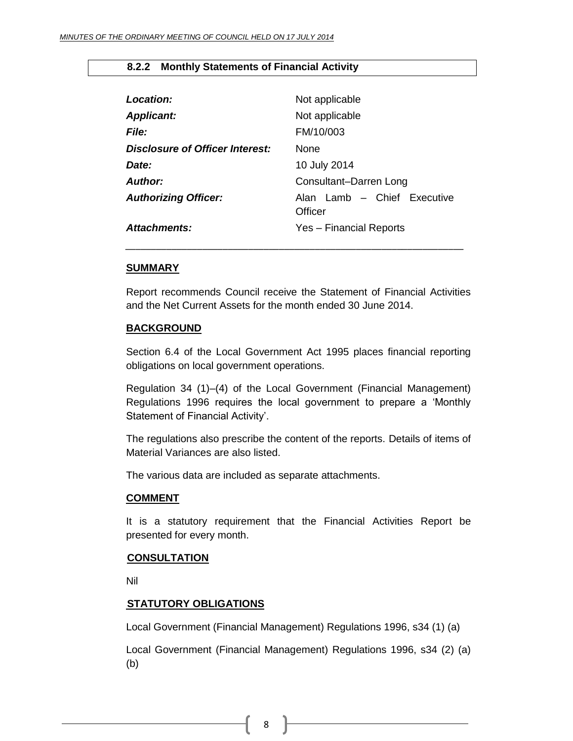# <span id="page-7-0"></span>**8.2.2 Monthly Statements of Financial Activity**

| Location:                       | Not applicable                         |
|---------------------------------|----------------------------------------|
| <b>Applicant:</b>               | Not applicable                         |
| <b>File:</b>                    | FM/10/003                              |
| Disclosure of Officer Interest: | <b>None</b>                            |
| Date:                           | 10 July 2014                           |
| Author:                         | Consultant-Darren Long                 |
| <b>Authorizing Officer:</b>     | Alan Lamb - Chief Executive<br>Officer |
| <b>Attachments:</b>             | Yes - Financial Reports                |

#### **SUMMARY**

Report recommends Council receive the Statement of Financial Activities and the Net Current Assets for the month ended 30 June 2014.

*\_\_\_\_\_\_\_\_\_\_\_\_\_\_\_\_\_\_\_\_\_\_\_\_\_\_\_\_\_\_\_\_\_\_\_\_\_\_\_\_\_\_\_\_\_\_\_\_\_\_\_\_\_\_\_\_\_\_\_\_\_\_\_\_\_\_*

#### **BACKGROUND**

Section 6.4 of the Local Government Act 1995 places financial reporting obligations on local government operations.

Regulation 34 (1)–(4) of the Local Government (Financial Management) Regulations 1996 requires the local government to prepare a 'Monthly Statement of Financial Activity'.

The regulations also prescribe the content of the reports. Details of items of Material Variances are also listed.

The various data are included as separate attachments.

#### **COMMENT**

It is a statutory requirement that the Financial Activities Report be presented for every month.

# **CONSULTATION**

Nil

# **STATUTORY OBLIGATIONS**

Local Government (Financial Management) Regulations 1996, s34 (1) (a)

Local Government (Financial Management) Regulations 1996, s34 (2) (a) (b)

8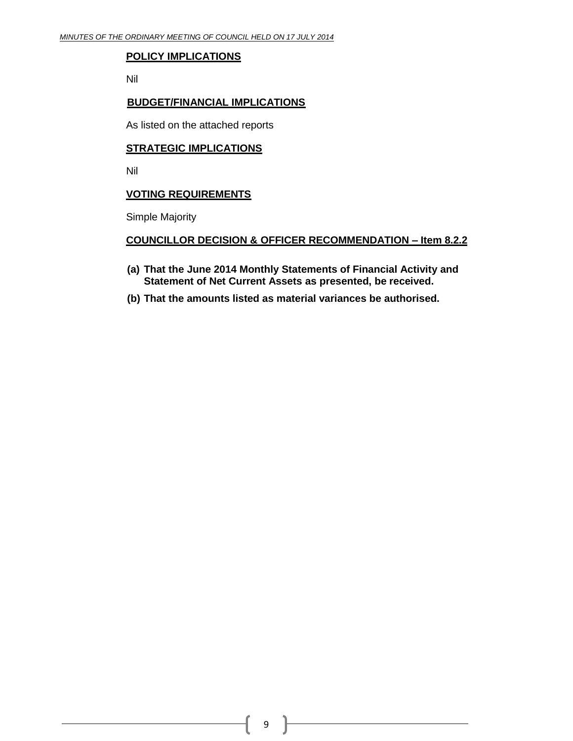# **POLICY IMPLICATIONS**

Nil

# **BUDGET/FINANCIAL IMPLICATIONS**

As listed on the attached reports

# **STRATEGIC IMPLICATIONS**

Nil

# **VOTING REQUIREMENTS**

Simple Majority

# **COUNCILLOR DECISION & OFFICER RECOMMENDATION – Item 8.2.2**

- **(a) That the June 2014 Monthly Statements of Financial Activity and Statement of Net Current Assets as presented, be received.**
- **(b) That the amounts listed as material variances be authorised.**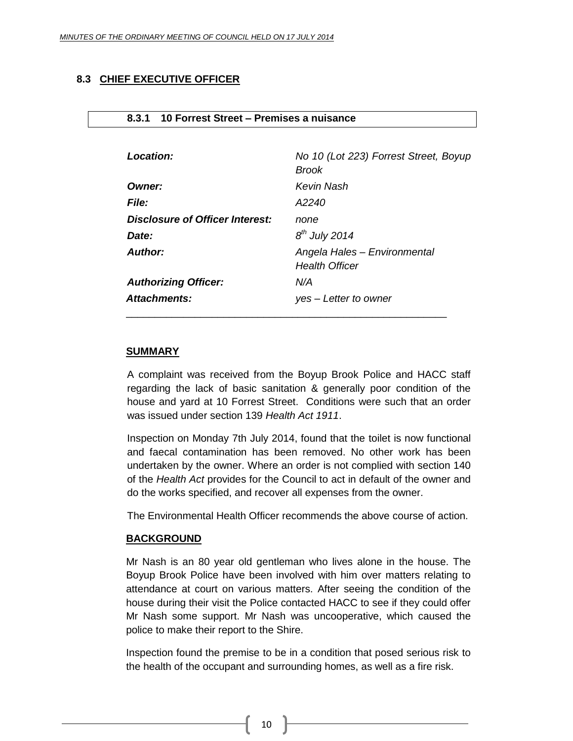# <span id="page-9-0"></span>**8.3 CHIEF EXECUTIVE OFFICER**

| <b>File:</b>                    | A2240                                                 |
|---------------------------------|-------------------------------------------------------|
| Disclosure of Officer Interest: | none                                                  |
| Date:                           | $8th$ July 2014                                       |
| <b>Author:</b>                  | Angela Hales - Environmental<br><b>Health Officer</b> |
| <b>Authorizing Officer:</b>     | N/A                                                   |
| Attachments:                    | yes – Letter to owner                                 |

#### <span id="page-9-1"></span>**8.3.1 10 Forrest Street – Premises a nuisance**

#### **SUMMARY**

A complaint was received from the Boyup Brook Police and HACC staff regarding the lack of basic sanitation & generally poor condition of the house and yard at 10 Forrest Street. Conditions were such that an order was issued under section 139 *Health Act 1911*.

Inspection on Monday 7th July 2014, found that the toilet is now functional and faecal contamination has been removed. No other work has been undertaken by the owner. Where an order is not complied with section 140 of the *Health Act* provides for the Council to act in default of the owner and do the works specified, and recover all expenses from the owner.

The Environmental Health Officer recommends the above course of action.

#### **BACKGROUND**

Mr Nash is an 80 year old gentleman who lives alone in the house. The Boyup Brook Police have been involved with him over matters relating to attendance at court on various matters. After seeing the condition of the house during their visit the Police contacted HACC to see if they could offer Mr Nash some support. Mr Nash was uncooperative, which caused the police to make their report to the Shire.

Inspection found the premise to be in a condition that posed serious risk to the health of the occupant and surrounding homes, as well as a fire risk.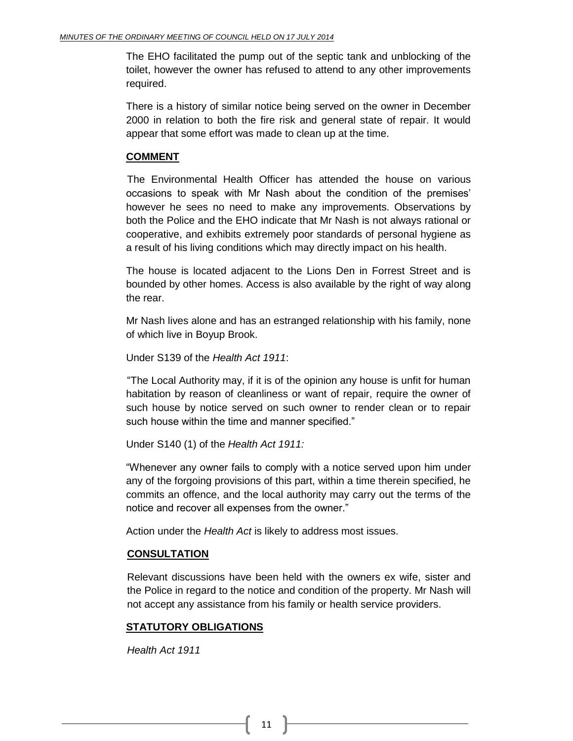The EHO facilitated the pump out of the septic tank and unblocking of the toilet, however the owner has refused to attend to any other improvements required.

There is a history of similar notice being served on the owner in December 2000 in relation to both the fire risk and general state of repair. It would appear that some effort was made to clean up at the time.

# **COMMENT**

The Environmental Health Officer has attended the house on various occasions to speak with Mr Nash about the condition of the premises' however he sees no need to make any improvements. Observations by both the Police and the EHO indicate that Mr Nash is not always rational or cooperative, and exhibits extremely poor standards of personal hygiene as a result of his living conditions which may directly impact on his health.

The house is located adjacent to the Lions Den in Forrest Street and is bounded by other homes. Access is also available by the right of way along the rear.

Mr Nash lives alone and has an estranged relationship with his family, none of which live in Boyup Brook.

Under S139 of the *Health Act 1911*:

"The Local Authority may, if it is of the opinion any house is unfit for human habitation by reason of cleanliness or want of repair, require the owner of such house by notice served on such owner to render clean or to repair such house within the time and manner specified."

Under S140 (1) of the *Health Act 1911:*

"Whenever any owner fails to comply with a notice served upon him under any of the forgoing provisions of this part, within a time therein specified, he commits an offence, and the local authority may carry out the terms of the notice and recover all expenses from the owner."

Action under the *Health Act* is likely to address most issues.

# **CONSULTATION**

Relevant discussions have been held with the owners ex wife, sister and the Police in regard to the notice and condition of the property. Mr Nash will not accept any assistance from his family or health service providers.

# **STATUTORY OBLIGATIONS**

*Health Act 1911*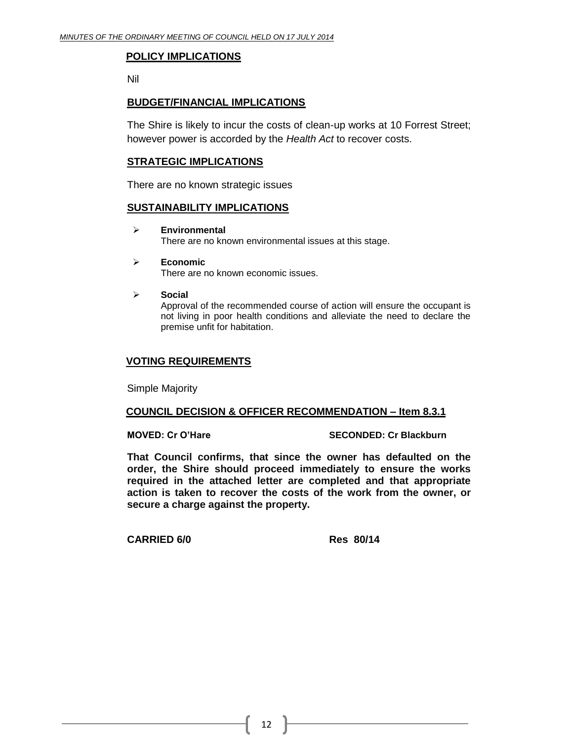# **POLICY IMPLICATIONS**

Nil

# **BUDGET/FINANCIAL IMPLICATIONS**

The Shire is likely to incur the costs of clean-up works at 10 Forrest Street; however power is accorded by the *Health Act* to recover costs.

# **STRATEGIC IMPLICATIONS**

There are no known strategic issues

# **SUSTAINABILITY IMPLICATIONS**

- **Environmental** There are no known environmental issues at this stage.
- **Economic** There are no known economic issues.
- **Social**

Approval of the recommended course of action will ensure the occupant is not living in poor health conditions and alleviate the need to declare the premise unfit for habitation.

# **VOTING REQUIREMENTS**

Simple Majority

# **COUNCIL DECISION & OFFICER RECOMMENDATION – Item 8.3.1**

**MOVED: Cr O'Hare SECONDED: Cr Blackburn**

**That Council confirms, that since the owner has defaulted on the order, the Shire should proceed immediately to ensure the works required in the attached letter are completed and that appropriate action is taken to recover the costs of the work from the owner, or secure a charge against the property.**

**CARRIED 6/0 Res 80/14**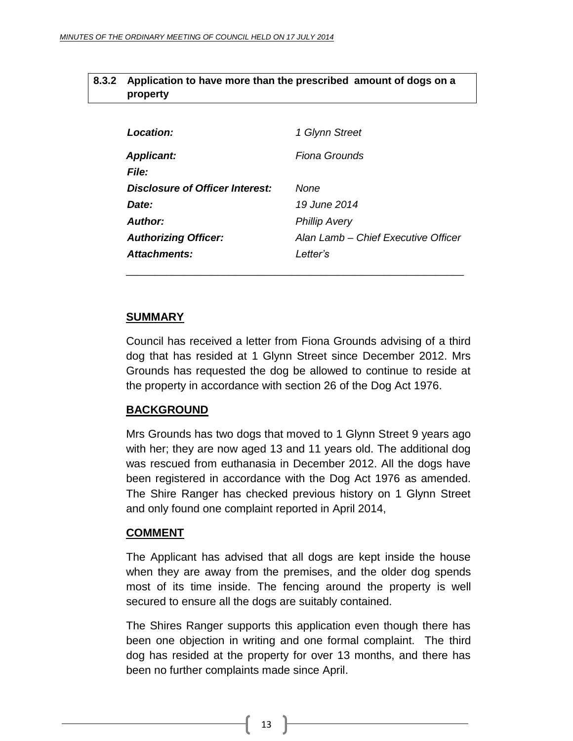# <span id="page-12-0"></span>**8.3.2 Application to have more than the prescribed amount of dogs on a property**

| Location:                       | 1 Glynn Street                      |
|---------------------------------|-------------------------------------|
| <b>Applicant:</b>               | Fiona Grounds                       |
| <i>File:</i>                    |                                     |
| Disclosure of Officer Interest: | None                                |
| Date:                           | 19 June 2014                        |
| Author:                         | <b>Phillip Avery</b>                |
| <b>Authorizing Officer:</b>     | Alan Lamb – Chief Executive Officer |
| <b>Attachments:</b>             | l etter's                           |

\_\_\_\_\_\_\_\_\_\_\_\_\_\_\_\_\_\_\_\_\_\_\_\_\_\_\_\_\_\_\_\_\_\_\_\_\_\_\_\_\_\_\_\_\_\_\_\_\_\_\_\_\_\_\_\_\_\_\_

# **SUMMARY**

Council has received a letter from Fiona Grounds advising of a third dog that has resided at 1 Glynn Street since December 2012. Mrs Grounds has requested the dog be allowed to continue to reside at the property in accordance with section 26 of the Dog Act 1976.

# **BACKGROUND**

Mrs Grounds has two dogs that moved to 1 Glynn Street 9 years ago with her; they are now aged 13 and 11 years old. The additional dog was rescued from euthanasia in December 2012. All the dogs have been registered in accordance with the Dog Act 1976 as amended. The Shire Ranger has checked previous history on 1 Glynn Street and only found one complaint reported in April 2014,

# **COMMENT**

The Applicant has advised that all dogs are kept inside the house when they are away from the premises, and the older dog spends most of its time inside. The fencing around the property is well secured to ensure all the dogs are suitably contained.

The Shires Ranger supports this application even though there has been one objection in writing and one formal complaint. The third dog has resided at the property for over 13 months, and there has been no further complaints made since April.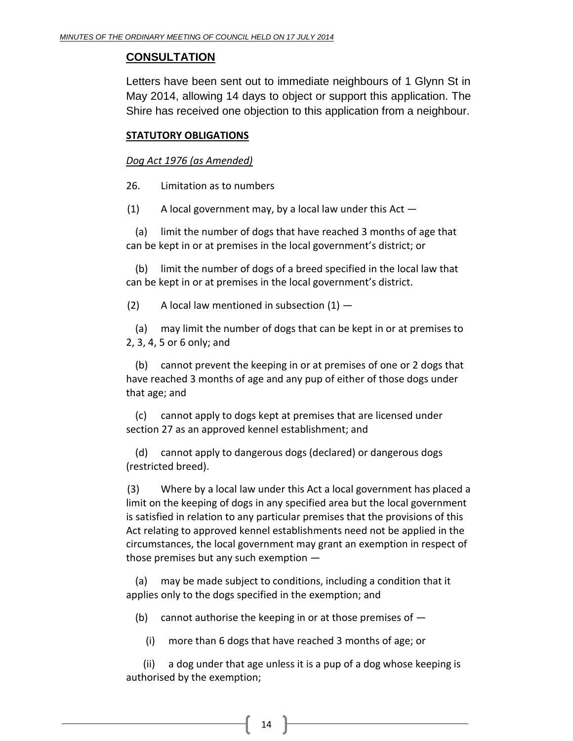# **CONSULTATION**

Letters have been sent out to immediate neighbours of 1 Glynn St in May 2014, allowing 14 days to object or support this application. The Shire has received one objection to this application from a neighbour.

# **STATUTORY OBLIGATIONS**

# *Dog Act 1976 (as Amended)*

26. Limitation as to numbers

 $(1)$  A local government may, by a local law under this Act  $-$ 

(a) limit the number of dogs that have reached 3 months of age that can be kept in or at premises in the local government's district; or

(b) limit the number of dogs of a breed specified in the local law that can be kept in or at premises in the local government's district.

(2) A local law mentioned in subsection  $(1)$  –

(a) may limit the number of dogs that can be kept in or at premises to 2, 3, 4, 5 or 6 only; and

(b) cannot prevent the keeping in or at premises of one or 2 dogs that have reached 3 months of age and any pup of either of those dogs under that age; and

(c) cannot apply to dogs kept at premises that are licensed under section 27 as an approved kennel establishment; and

(d) cannot apply to dangerous dogs (declared) or dangerous dogs (restricted breed).

(3) Where by a local law under this Act a local government has placed a limit on the keeping of dogs in any specified area but the local government is satisfied in relation to any particular premises that the provisions of this Act relating to approved kennel establishments need not be applied in the circumstances, the local government may grant an exemption in respect of those premises but any such exemption —

(a) may be made subject to conditions, including a condition that it applies only to the dogs specified in the exemption; and

(b) cannot authorise the keeping in or at those premises of  $-$ 

(i) more than 6 dogs that have reached 3 months of age; or

(ii) a dog under that age unless it is a pup of a dog whose keeping is authorised by the exemption;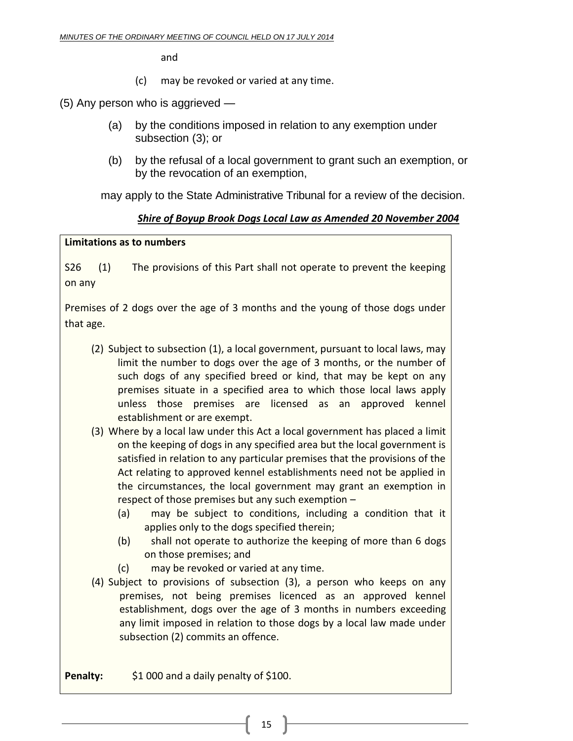and

(c) may be revoked or varied at any time.

(5) Any person who is aggrieved —

- (a) by the conditions imposed in relation to any exemption under subsection (3); or
- (b) by the refusal of a local government to grant such an exemption, or by the revocation of an exemption,

may apply to the State Administrative Tribunal for a review of the decision.

# *Shire of Boyup Brook Dogs Local Law as Amended 20 November 2004*

# **Limitations as to numbers**

S26 (1) The provisions of this Part shall not operate to prevent the keeping on any

Premises of 2 dogs over the age of 3 months and the young of those dogs under that age.

- (2) Subject to subsection (1), a local government, pursuant to local laws, may limit the number to dogs over the age of 3 months, or the number of such dogs of any specified breed or kind, that may be kept on any premises situate in a specified area to which those local laws apply unless those premises are licensed as an approved kennel establishment or are exempt.
- (3) Where by a local law under this Act a local government has placed a limit on the keeping of dogs in any specified area but the local government is satisfied in relation to any particular premises that the provisions of the Act relating to approved kennel establishments need not be applied in the circumstances, the local government may grant an exemption in respect of those premises but any such exemption –
	- (a) may be subject to conditions, including a condition that it applies only to the dogs specified therein;
	- (b) shall not operate to authorize the keeping of more than 6 dogs on those premises; and
	- (c) may be revoked or varied at any time.
- (4) Subject to provisions of subsection (3), a person who keeps on any premises, not being premises licenced as an approved kennel establishment, dogs over the age of 3 months in numbers exceeding any limit imposed in relation to those dogs by a local law made under subsection (2) commits an offence.

**Penalty:** \$1 000 and a daily penalty of \$100.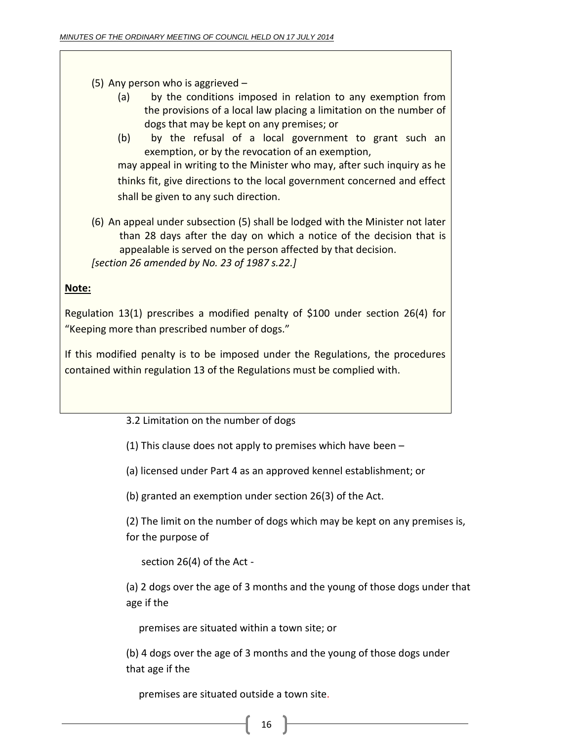(5) Any person who is aggrieved –

- (a) by the conditions imposed in relation to any exemption from the provisions of a local law placing a limitation on the number of dogs that may be kept on any premises; or
- (b) by the refusal of a local government to grant such an exemption, or by the revocation of an exemption, may appeal in writing to the Minister who may, after such inquiry as he thinks fit, give directions to the local government concerned and effect shall be given to any such direction.
- (6) An appeal under subsection (5) shall be lodged with the Minister not later than 28 days after the day on which a notice of the decision that is appealable is served on the person affected by that decision. *[section 26 amended by No. 23 of 1987 s.22.]*

# **Note:**

Regulation 13(1) prescribes a modified penalty of \$100 under section 26(4) for "Keeping more than prescribed number of dogs."

If this modified penalty is to be imposed under the Regulations, the procedures contained within regulation 13 of the Regulations must be complied with.

3.2 Limitation on the number of dogs

(1) This clause does not apply to premises which have been –

(a) licensed under Part 4 as an approved kennel establishment; or

(b) granted an exemption under section 26(3) of the Act.

(2) The limit on the number of dogs which may be kept on any premises is, for the purpose of

section 26(4) of the Act -

(a) 2 dogs over the age of 3 months and the young of those dogs under that age if the

premises are situated within a town site; or

(b) 4 dogs over the age of 3 months and the young of those dogs under that age if the

premises are situated outside a town site.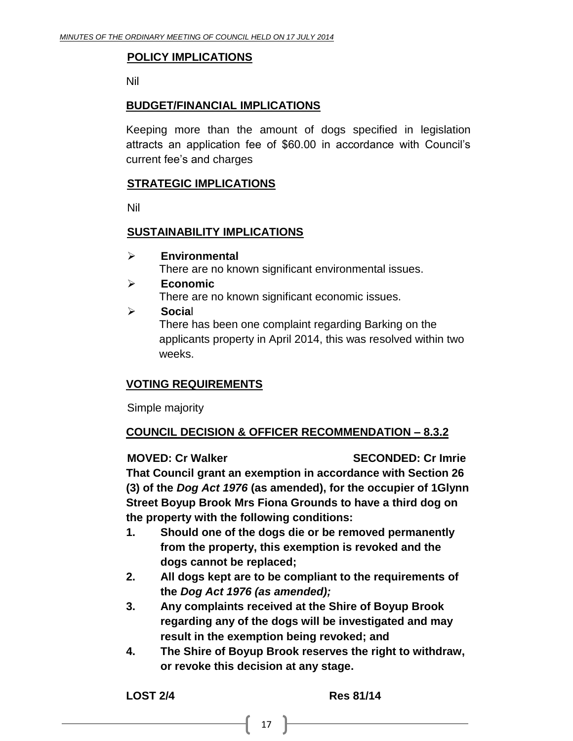# **POLICY IMPLICATIONS**

Nil

# **BUDGET/FINANCIAL IMPLICATIONS**

Keeping more than the amount of dogs specified in legislation attracts an application fee of \$60.00 in accordance with Council's current fee's and charges

# **STRATEGIC IMPLICATIONS**

Nil

# **SUSTAINABILITY IMPLICATIONS**

**Environmental**

There are no known significant environmental issues.

# **Economic**

There are no known significant economic issues.

**Socia**l

There has been one complaint regarding Barking on the applicants property in April 2014, this was resolved within two weeks.

# **VOTING REQUIREMENTS**

Simple majority

# **COUNCIL DECISION & OFFICER RECOMMENDATION – 8.3.2**

# **MOVED: Cr Walker SECONDED: Cr Imrie**

**That Council grant an exemption in accordance with Section 26 (3) of the** *Dog Act 1976* **(as amended), for the occupier of 1Glynn Street Boyup Brook Mrs Fiona Grounds to have a third dog on the property with the following conditions:**

- **1. Should one of the dogs die or be removed permanently from the property, this exemption is revoked and the dogs cannot be replaced;**
- **2. All dogs kept are to be compliant to the requirements of the** *Dog Act 1976 (as amended);*
- **3. Any complaints received at the Shire of Boyup Brook regarding any of the dogs will be investigated and may result in the exemption being revoked; and**
- **4. The Shire of Boyup Brook reserves the right to withdraw, or revoke this decision at any stage.**

**LOST 2/4 Res 81/14**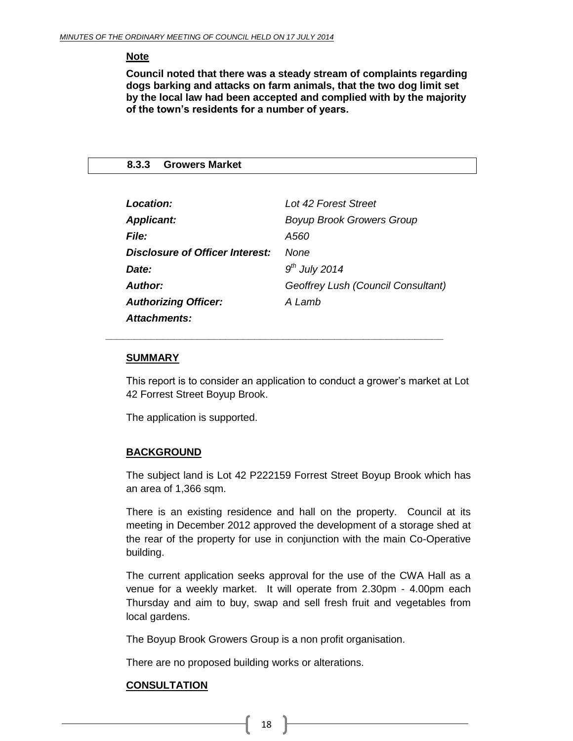# **Note**

**Council noted that there was a steady stream of complaints regarding dogs barking and attacks on farm animals, that the two dog limit set by the local law had been accepted and complied with by the majority of the town's residents for a number of years.**

# <span id="page-17-0"></span>**8.3.3 Growers Market**

| Location:                       | Lot 42 Forest Street               |
|---------------------------------|------------------------------------|
| <b>Applicant:</b>               | <b>Boyup Brook Growers Group</b>   |
| <i>File:</i>                    | A560                               |
| Disclosure of Officer Interest: | None                               |
| Date:                           | $9th$ July 2014                    |
| Author:                         | Geoffrey Lush (Council Consultant) |
| <b>Authorizing Officer:</b>     | A Lamb                             |
| <b>Attachments:</b>             |                                    |

*\_\_\_\_\_\_\_\_\_\_\_\_\_\_\_\_\_\_\_\_\_\_\_\_\_\_\_\_\_\_\_\_\_\_\_\_\_\_\_\_\_\_\_\_\_\_\_\_\_\_\_\_\_\_\_\_\_\_\_*

#### **SUMMARY**

This report is to consider an application to conduct a grower's market at Lot 42 Forrest Street Boyup Brook.

The application is supported.

# **BACKGROUND**

The subject land is Lot 42 P222159 Forrest Street Boyup Brook which has an area of 1,366 sqm.

There is an existing residence and hall on the property. Council at its meeting in December 2012 approved the development of a storage shed at the rear of the property for use in conjunction with the main Co-Operative building.

The current application seeks approval for the use of the CWA Hall as a venue for a weekly market. It will operate from 2.30pm - 4.00pm each Thursday and aim to buy, swap and sell fresh fruit and vegetables from local gardens.

The Boyup Brook Growers Group is a non profit organisation.

There are no proposed building works or alterations.

# **CONSULTATION**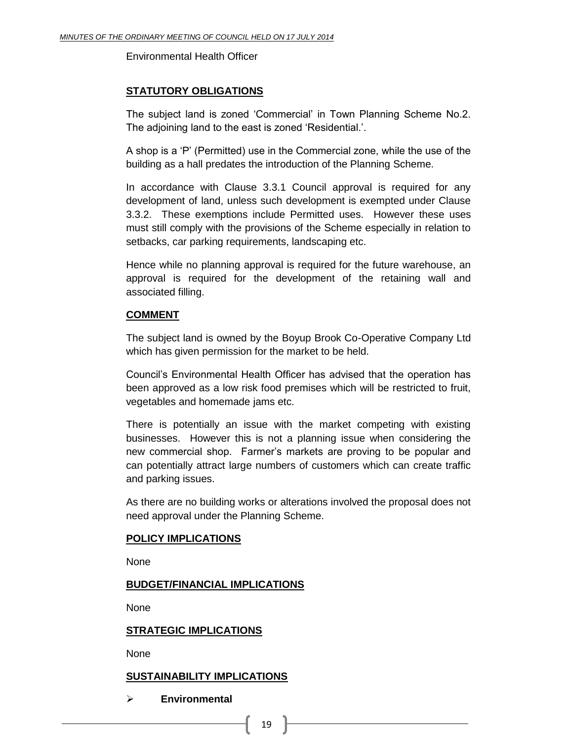Environmental Health Officer

# **STATUTORY OBLIGATIONS**

The subject land is zoned 'Commercial' in Town Planning Scheme No.2. The adjoining land to the east is zoned 'Residential.'.

A shop is a 'P' (Permitted) use in the Commercial zone, while the use of the building as a hall predates the introduction of the Planning Scheme.

In accordance with Clause 3.3.1 Council approval is required for any development of land, unless such development is exempted under Clause 3.3.2. These exemptions include Permitted uses. However these uses must still comply with the provisions of the Scheme especially in relation to setbacks, car parking requirements, landscaping etc.

Hence while no planning approval is required for the future warehouse, an approval is required for the development of the retaining wall and associated filling.

# **COMMENT**

The subject land is owned by the Boyup Brook Co-Operative Company Ltd which has given permission for the market to be held.

Council's Environmental Health Officer has advised that the operation has been approved as a low risk food premises which will be restricted to fruit, vegetables and homemade jams etc.

There is potentially an issue with the market competing with existing businesses. However this is not a planning issue when considering the new commercial shop. Farmer's markets are proving to be popular and can potentially attract large numbers of customers which can create traffic and parking issues.

As there are no building works or alterations involved the proposal does not need approval under the Planning Scheme.

# **POLICY IMPLICATIONS**

**None** 

# **BUDGET/FINANCIAL IMPLICATIONS**

None

# **STRATEGIC IMPLICATIONS**

None

# **SUSTAINABILITY IMPLICATIONS**

**Environmental**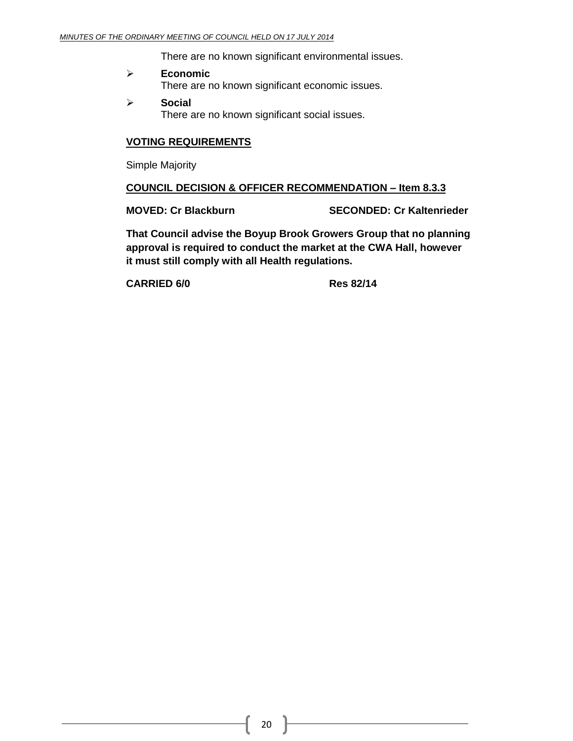There are no known significant environmental issues.

- **Economic**  There are no known significant economic issues.
- **Social**  There are no known significant social issues.

# **VOTING REQUIREMENTS**

Simple Majority

# **COUNCIL DECISION & OFFICER RECOMMENDATION – Item 8.3.3**

**MOVED: Cr Blackburn SECONDED: Cr Kaltenrieder**

**That Council advise the Boyup Brook Growers Group that no planning approval is required to conduct the market at the CWA Hall, however it must still comply with all Health regulations.**

**CARRIED 6/0 Res 82/14**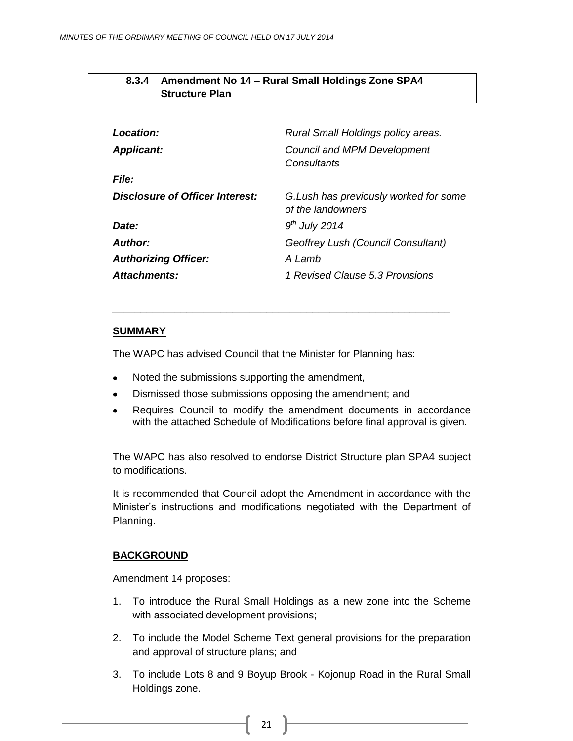<span id="page-20-0"></span>

| 8.3.4 Amendment No 14 - Rural Small Holdings Zone SPA4 |
|--------------------------------------------------------|
| <b>Structure Plan</b>                                  |

| Location:                       | Rural Small Holdings policy areas.                          |
|---------------------------------|-------------------------------------------------------------|
| <b>Applicant:</b>               | <b>Council and MPM Development</b><br>Consultants           |
| <i>File:</i>                    |                                                             |
| Disclosure of Officer Interest: | G. Lush has previously worked for some<br>of the landowners |
| Date:                           | $9th$ July 2014                                             |
| <b>Author:</b>                  | Geoffrey Lush (Council Consultant)                          |
| <b>Authorizing Officer:</b>     | A Lamb                                                      |
| Attachments:                    | 1 Revised Clause 5.3 Provisions                             |

# **SUMMARY**

The WAPC has advised Council that the Minister for Planning has:

*\_\_\_\_\_\_\_\_\_\_\_\_\_\_\_\_\_\_\_\_\_\_\_\_\_\_\_\_\_\_\_\_\_\_\_\_\_\_\_\_\_\_\_\_\_\_\_\_\_\_\_\_\_\_\_\_\_\_\_*

- Noted the submissions supporting the amendment,
- Dismissed those submissions opposing the amendment; and  $\bullet$
- Requires Council to modify the amendment documents in accordance with the attached Schedule of Modifications before final approval is given.

The WAPC has also resolved to endorse District Structure plan SPA4 subject to modifications.

It is recommended that Council adopt the Amendment in accordance with the Minister's instructions and modifications negotiated with the Department of Planning.

# **BACKGROUND**

Amendment 14 proposes:

- 1. To introduce the Rural Small Holdings as a new zone into the Scheme with associated development provisions;
- 2. To include the Model Scheme Text general provisions for the preparation and approval of structure plans; and
- 3. To include Lots 8 and 9 Boyup Brook Kojonup Road in the Rural Small Holdings zone.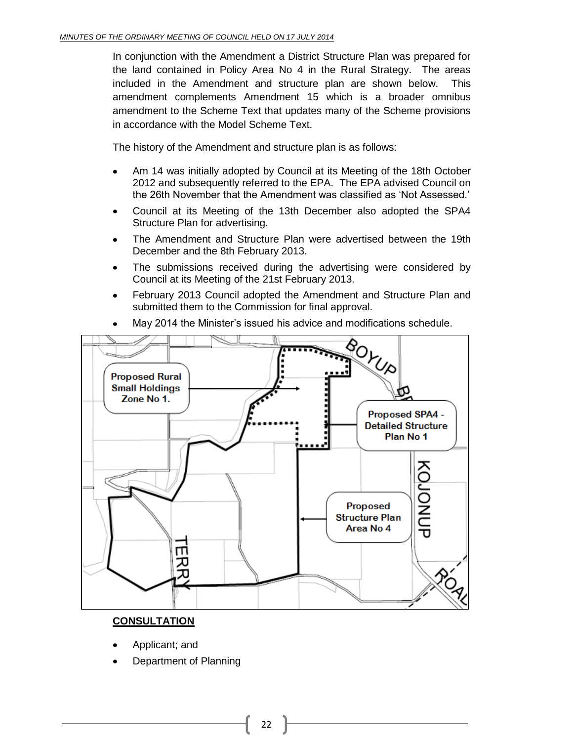In conjunction with the Amendment a District Structure Plan was prepared for the land contained in Policy Area No 4 in the Rural Strategy. The areas included in the Amendment and structure plan are shown below. This amendment complements Amendment 15 which is a broader omnibus amendment to the Scheme Text that updates many of the Scheme provisions in accordance with the Model Scheme Text.

The history of the Amendment and structure plan is as follows:

- Am 14 was initially adopted by Council at its Meeting of the 18th October 2012 and subsequently referred to the EPA. The EPA advised Council on the 26th November that the Amendment was classified as 'Not Assessed.'
- Council at its Meeting of the 13th December also adopted the SPA4 Structure Plan for advertising.
- The Amendment and Structure Plan were advertised between the 19th December and the 8th February 2013.
- The submissions received during the advertising were considered by Council at its Meeting of the 21st February 2013.
- February 2013 Council adopted the Amendment and Structure Plan and  $\bullet$ submitted them to the Commission for final approval.



May 2014 the Minister's issued his advice and modifications schedule.

# **CONSULTATION**

- Applicant; and
- Department of Planning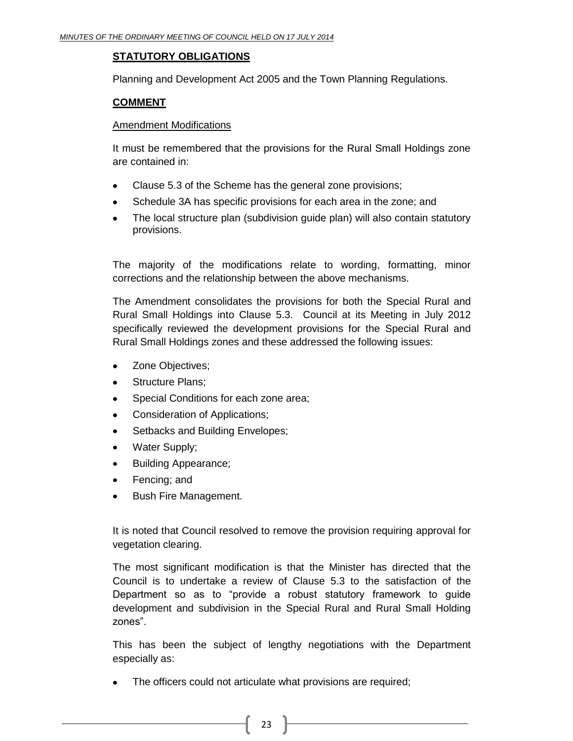# **STATUTORY OBLIGATIONS**

Planning and Development Act 2005 and the Town Planning Regulations.

# **COMMENT**

# Amendment Modifications

It must be remembered that the provisions for the Rural Small Holdings zone are contained in:

- Clause 5.3 of the Scheme has the general zone provisions;
- Schedule 3A has specific provisions for each area in the zone; and
- The local structure plan (subdivision guide plan) will also contain statutory provisions.

The majority of the modifications relate to wording, formatting, minor corrections and the relationship between the above mechanisms.

The Amendment consolidates the provisions for both the Special Rural and Rural Small Holdings into Clause 5.3. Council at its Meeting in July 2012 specifically reviewed the development provisions for the Special Rural and Rural Small Holdings zones and these addressed the following issues:

- Zone Objectives;
- Structure Plans;
- Special Conditions for each zone area;
- Consideration of Applications;
- Setbacks and Building Envelopes;
- Water Supply;
- Building Appearance;
- Fencing; and
- Bush Fire Management.

It is noted that Council resolved to remove the provision requiring approval for vegetation clearing.

The most significant modification is that the Minister has directed that the Council is to undertake a review of Clause 5.3 to the satisfaction of the Department so as to "provide a robust statutory framework to guide development and subdivision in the Special Rural and Rural Small Holding zones".

This has been the subject of lengthy negotiations with the Department especially as:

The officers could not articulate what provisions are required;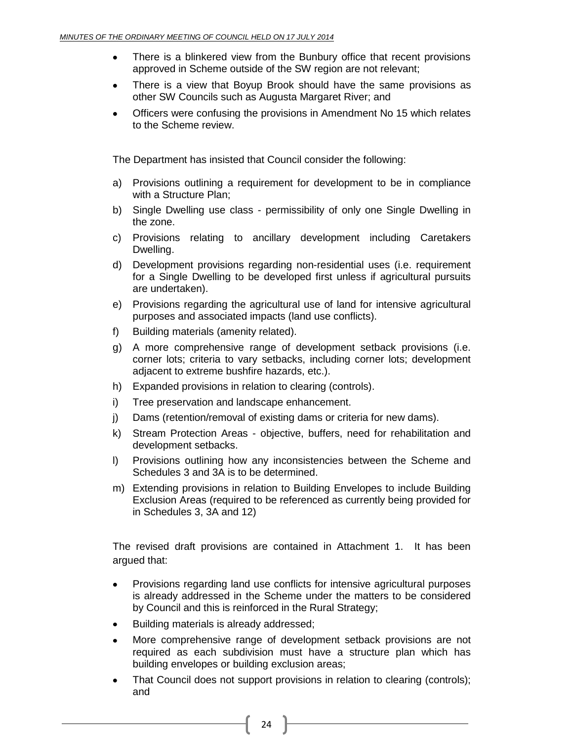- There is a blinkered view from the Bunbury office that recent provisions approved in Scheme outside of the SW region are not relevant;
- There is a view that Boyup Brook should have the same provisions as  $\bullet$ other SW Councils such as Augusta Margaret River; and
- Officers were confusing the provisions in Amendment No 15 which relates to the Scheme review.

The Department has insisted that Council consider the following:

- a) Provisions outlining a requirement for development to be in compliance with a Structure Plan;
- b) Single Dwelling use class permissibility of only one Single Dwelling in the zone.
- c) Provisions relating to ancillary development including Caretakers Dwelling.
- d) Development provisions regarding non-residential uses (i.e. requirement for a Single Dwelling to be developed first unless if agricultural pursuits are undertaken).
- e) Provisions regarding the agricultural use of land for intensive agricultural purposes and associated impacts (land use conflicts).
- f) Building materials (amenity related).
- g) A more comprehensive range of development setback provisions (i.e. corner lots; criteria to vary setbacks, including corner lots; development adjacent to extreme bushfire hazards, etc.).
- h) Expanded provisions in relation to clearing (controls).
- i) Tree preservation and landscape enhancement.
- j) Dams (retention/removal of existing dams or criteria for new dams).
- k) Stream Protection Areas objective, buffers, need for rehabilitation and development setbacks.
- l) Provisions outlining how any inconsistencies between the Scheme and Schedules 3 and 3A is to be determined.
- m) Extending provisions in relation to Building Envelopes to include Building Exclusion Areas (required to be referenced as currently being provided for in Schedules 3, 3A and 12)

The revised draft provisions are contained in Attachment 1. It has been argued that:

- Provisions regarding land use conflicts for intensive agricultural purposes is already addressed in the Scheme under the matters to be considered by Council and this is reinforced in the Rural Strategy;
- Building materials is already addressed;
- More comprehensive range of development setback provisions are not  $\bullet$ required as each subdivision must have a structure plan which has building envelopes or building exclusion areas;
- That Council does not support provisions in relation to clearing (controls); and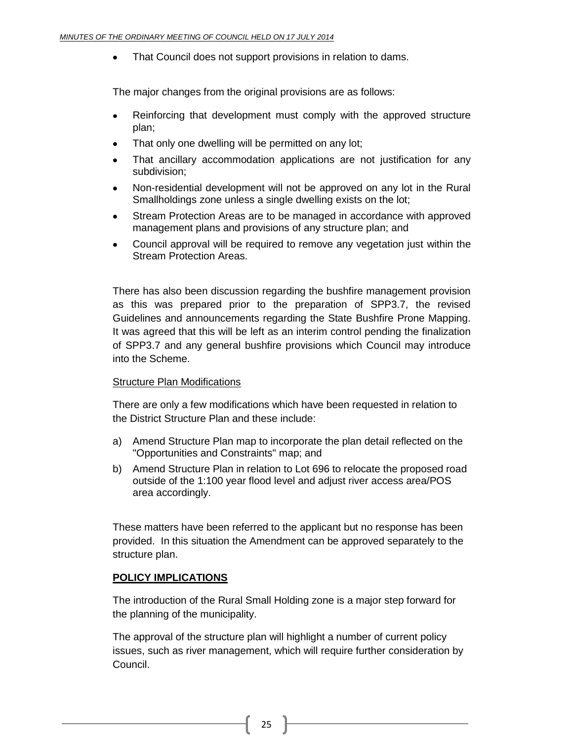That Council does not support provisions in relation to dams.

The major changes from the original provisions are as follows:

- Reinforcing that development must comply with the approved structure plan;
- That only one dwelling will be permitted on any lot;
- That ancillary accommodation applications are not justification for any subdivision;
- Non-residential development will not be approved on any lot in the Rural Smallholdings zone unless a single dwelling exists on the lot;
- Stream Protection Areas are to be managed in accordance with approved management plans and provisions of any structure plan; and
- Council approval will be required to remove any vegetation just within the Stream Protection Areas.

There has also been discussion regarding the bushfire management provision as this was prepared prior to the preparation of SPP3.7, the revised Guidelines and announcements regarding the State Bushfire Prone Mapping. It was agreed that this will be left as an interim control pending the finalization of SPP3.7 and any general bushfire provisions which Council may introduce into the Scheme.

# Structure Plan Modifications

There are only a few modifications which have been requested in relation to the District Structure Plan and these include:

- a) Amend Structure Plan map to incorporate the plan detail reflected on the "Opportunities and Constraints" map; and
- b) Amend Structure Plan in relation to Lot 696 to relocate the proposed road outside of the 1:100 year flood level and adjust river access area/POS area accordingly.

These matters have been referred to the applicant but no response has been provided. In this situation the Amendment can be approved separately to the structure plan.

# **POLICY IMPLICATIONS**

The introduction of the Rural Small Holding zone is a major step forward for the planning of the municipality.

The approval of the structure plan will highlight a number of current policy issues, such as river management, which will require further consideration by Council.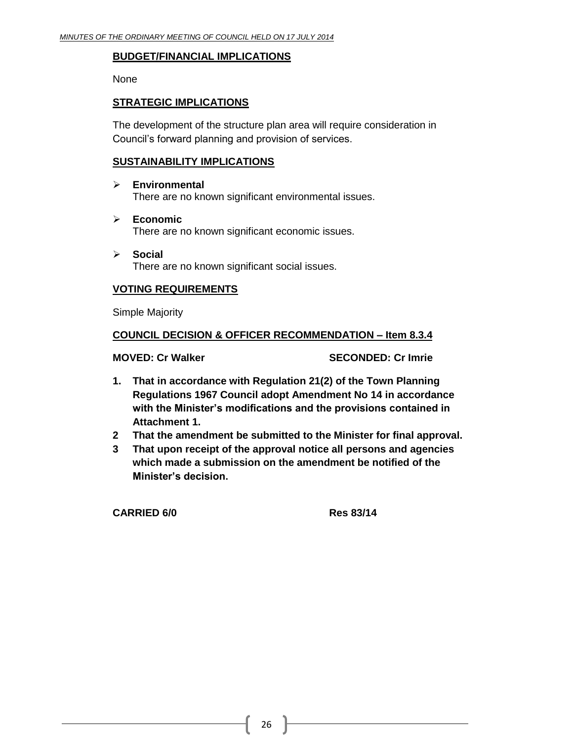# **BUDGET/FINANCIAL IMPLICATIONS**

None

# **STRATEGIC IMPLICATIONS**

The development of the structure plan area will require consideration in Council's forward planning and provision of services.

# **SUSTAINABILITY IMPLICATIONS**

#### **Environmental**

There are no known significant environmental issues.

- **Economic**  There are no known significant economic issues.
- **Social**  There are no known significant social issues.

# **VOTING REQUIREMENTS**

Simple Majority

# **COUNCIL DECISION & OFFICER RECOMMENDATION – Item 8.3.4**

**MOVED: Cr Walker SECONDED: Cr Imrie**

- **1. That in accordance with Regulation 21(2) of the Town Planning Regulations 1967 Council adopt Amendment No 14 in accordance with the Minister's modifications and the provisions contained in Attachment 1.**
- **2 That the amendment be submitted to the Minister for final approval.**
- **3 That upon receipt of the approval notice all persons and agencies which made a submission on the amendment be notified of the Minister's decision.**

**CARRIED 6/0 Res 83/14**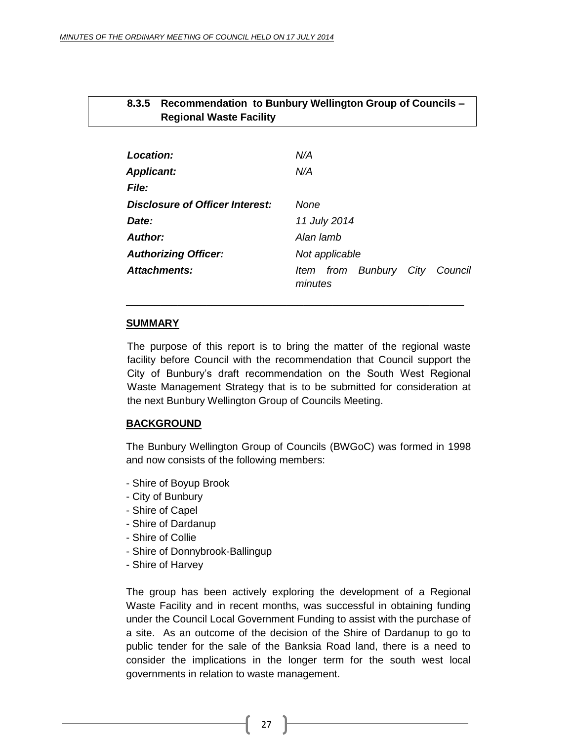# <span id="page-26-0"></span>**8.3.5 Recommendation to Bunbury Wellington Group of Councils – Regional Waste Facility**

| Location:                       | N/A                                       |
|---------------------------------|-------------------------------------------|
| <b>Applicant:</b>               | N/A                                       |
| File:                           |                                           |
| Disclosure of Officer Interest: | None                                      |
| Date:                           | 11 July 2014                              |
| Author:                         | Alan lamb                                 |
| <b>Authorizing Officer:</b>     | Not applicable                            |
| Attachments:                    | Item from Bunbury City Council<br>minutes |

# **SUMMARY**

The purpose of this report is to bring the matter of the regional waste facility before Council with the recommendation that Council support the City of Bunbury's draft recommendation on the South West Regional Waste Management Strategy that is to be submitted for consideration at the next Bunbury Wellington Group of Councils Meeting.

\_\_\_\_\_\_\_\_\_\_\_\_\_\_\_\_\_\_\_\_\_\_\_\_\_\_\_\_\_\_\_\_\_\_\_\_\_\_\_\_\_\_\_\_\_\_\_\_\_\_\_\_\_\_\_\_\_\_\_

# **BACKGROUND**

The Bunbury Wellington Group of Councils (BWGoC) was formed in 1998 and now consists of the following members:

- Shire of Boyup Brook
- City of Bunbury
- Shire of Capel
- Shire of Dardanup
- Shire of Collie
- Shire of Donnybrook-Ballingup
- Shire of Harvey

The group has been actively exploring the development of a Regional Waste Facility and in recent months, was successful in obtaining funding under the Council Local Government Funding to assist with the purchase of a site. As an outcome of the decision of the Shire of Dardanup to go to public tender for the sale of the Banksia Road land, there is a need to consider the implications in the longer term for the south west local governments in relation to waste management.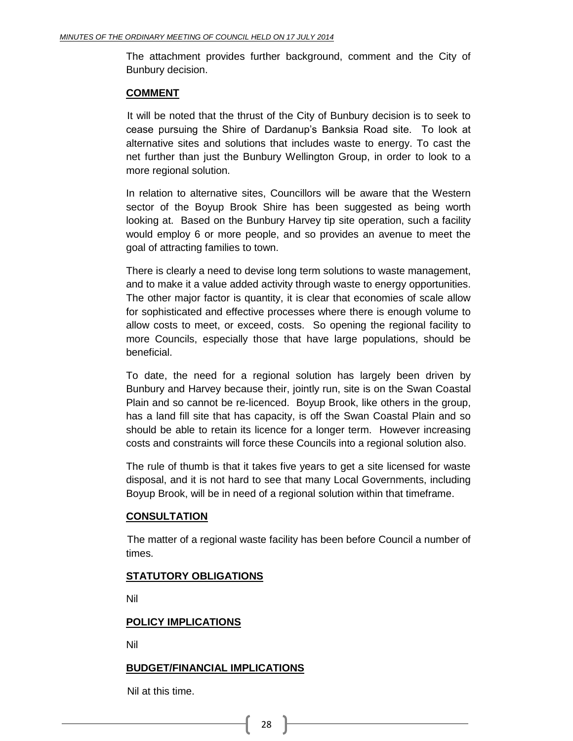The attachment provides further background, comment and the City of Bunbury decision.

# **COMMENT**

It will be noted that the thrust of the City of Bunbury decision is to seek to cease pursuing the Shire of Dardanup's Banksia Road site. To look at alternative sites and solutions that includes waste to energy. To cast the net further than just the Bunbury Wellington Group, in order to look to a more regional solution.

In relation to alternative sites, Councillors will be aware that the Western sector of the Boyup Brook Shire has been suggested as being worth looking at. Based on the Bunbury Harvey tip site operation, such a facility would employ 6 or more people, and so provides an avenue to meet the goal of attracting families to town.

There is clearly a need to devise long term solutions to waste management, and to make it a value added activity through waste to energy opportunities. The other major factor is quantity, it is clear that economies of scale allow for sophisticated and effective processes where there is enough volume to allow costs to meet, or exceed, costs. So opening the regional facility to more Councils, especially those that have large populations, should be beneficial.

To date, the need for a regional solution has largely been driven by Bunbury and Harvey because their, jointly run, site is on the Swan Coastal Plain and so cannot be re-licenced. Boyup Brook, like others in the group, has a land fill site that has capacity, is off the Swan Coastal Plain and so should be able to retain its licence for a longer term. However increasing costs and constraints will force these Councils into a regional solution also.

The rule of thumb is that it takes five years to get a site licensed for waste disposal, and it is not hard to see that many Local Governments, including Boyup Brook, will be in need of a regional solution within that timeframe.

# **CONSULTATION**

The matter of a regional waste facility has been before Council a number of times.

# **STATUTORY OBLIGATIONS**

Nil

# **POLICY IMPLICATIONS**

Nil

# **BUDGET/FINANCIAL IMPLICATIONS**

Nil at this time.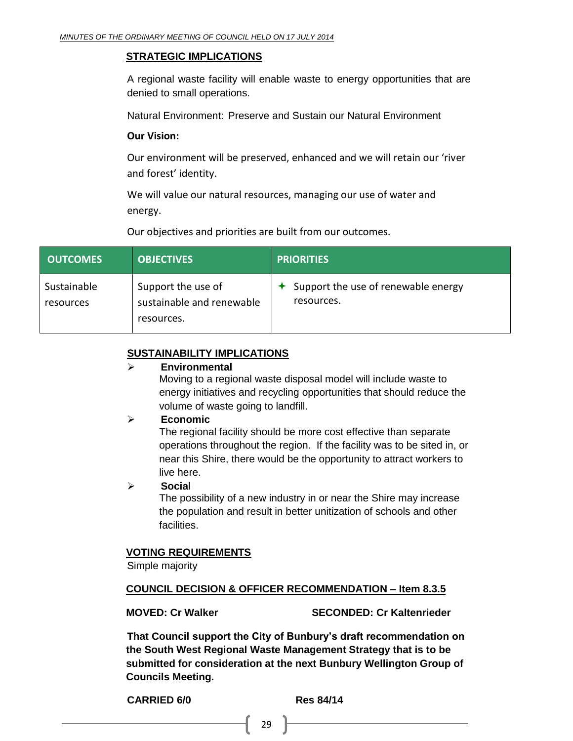# **STRATEGIC IMPLICATIONS**

A regional waste facility will enable waste to energy opportunities that are denied to small operations.

Natural Environment: Preserve and Sustain our Natural Environment

# **Our Vision:**

Our environment will be preserved, enhanced and we will retain our 'river and forest' identity.

We will value our natural resources, managing our use of water and energy.

Our objectives and priorities are built from our outcomes.

| <b>OUTCOMES</b>          | <b>OBJECTIVES</b>                                             | <b>PRIORITIES</b>                                             |
|--------------------------|---------------------------------------------------------------|---------------------------------------------------------------|
| Sustainable<br>resources | Support the use of<br>sustainable and renewable<br>resources. | $\triangle$ Support the use of renewable energy<br>resources. |

# **SUSTAINABILITY IMPLICATIONS**

#### **Environmental**

Moving to a regional waste disposal model will include waste to energy initiatives and recycling opportunities that should reduce the volume of waste going to landfill.

# **Economic**

The regional facility should be more cost effective than separate operations throughout the region. If the facility was to be sited in, or near this Shire, there would be the opportunity to attract workers to live here.

# **Socia**l

The possibility of a new industry in or near the Shire may increase the population and result in better unitization of schools and other facilities.

# **VOTING REQUIREMENTS**

Simple majority

# **COUNCIL DECISION & OFFICER RECOMMENDATION – Item 8.3.5**

**MOVED: Cr Walker SECONDED: Cr Kaltenrieder**

**That Council support the City of Bunbury's draft recommendation on the South West Regional Waste Management Strategy that is to be submitted for consideration at the next Bunbury Wellington Group of Councils Meeting.**

**CARRIED 6/0 Res 84/14**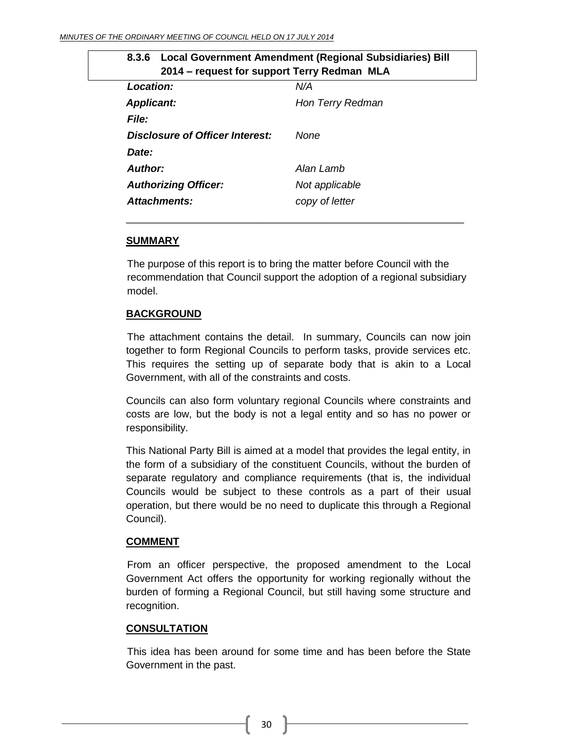<span id="page-29-0"></span>

| 8.3.6 Local Government Amendment (Regional Subsidiaries) Bill<br>2014 – request for support Terry Redman MLA |                  |  |
|--------------------------------------------------------------------------------------------------------------|------------------|--|
| <b>Location:</b><br>N/A                                                                                      |                  |  |
| <b>Applicant:</b>                                                                                            | Hon Terry Redman |  |
| <b>File:</b>                                                                                                 |                  |  |
| Disclosure of Officer Interest:                                                                              | None             |  |
| Date:                                                                                                        |                  |  |
| Author:                                                                                                      | Alan Lamb        |  |
| <b>Authorizing Officer:</b>                                                                                  | Not applicable   |  |
| Attachments:                                                                                                 | copy of letter   |  |
|                                                                                                              |                  |  |

#### **SUMMARY**

The purpose of this report is to bring the matter before Council with the recommendation that Council support the adoption of a regional subsidiary model.

# **BACKGROUND**

The attachment contains the detail. In summary, Councils can now join together to form Regional Councils to perform tasks, provide services etc. This requires the setting up of separate body that is akin to a Local Government, with all of the constraints and costs.

Councils can also form voluntary regional Councils where constraints and costs are low, but the body is not a legal entity and so has no power or responsibility.

This National Party Bill is aimed at a model that provides the legal entity, in the form of a subsidiary of the constituent Councils, without the burden of separate regulatory and compliance requirements (that is, the individual Councils would be subject to these controls as a part of their usual operation, but there would be no need to duplicate this through a Regional Council).

# **COMMENT**

From an officer perspective, the proposed amendment to the Local Government Act offers the opportunity for working regionally without the burden of forming a Regional Council, but still having some structure and recognition.

# **CONSULTATION**

This idea has been around for some time and has been before the State Government in the past.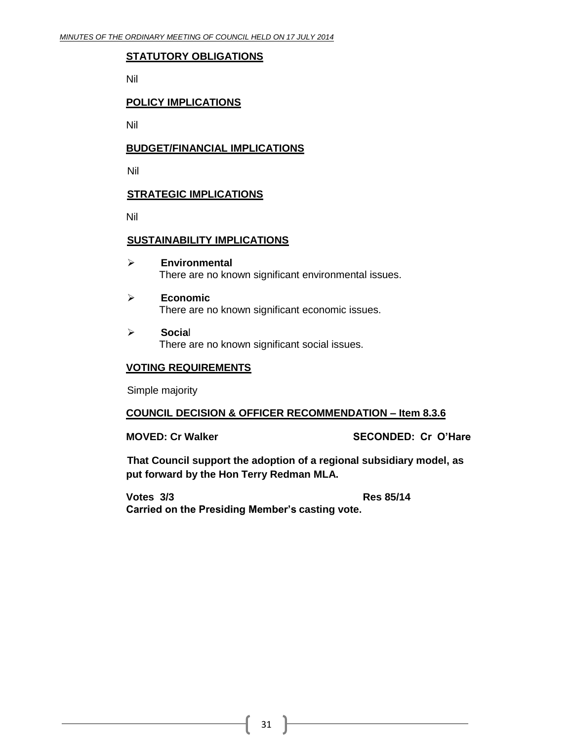# **STATUTORY OBLIGATIONS**

Nil

# **POLICY IMPLICATIONS**

Nil

# **BUDGET/FINANCIAL IMPLICATIONS**

Nil

# **STRATEGIC IMPLICATIONS**

Nil

# **SUSTAINABILITY IMPLICATIONS**

- **Environmental** There are no known significant environmental issues.
- **Economic** There are no known significant economic issues.
- **Socia**l There are no known significant social issues.

# **VOTING REQUIREMENTS**

Simple majority

# **COUNCIL DECISION & OFFICER RECOMMENDATION – Item 8.3.6**

**MOVED: Cr Walker SECONDED: Cr O'Hare**

**That Council support the adoption of a regional subsidiary model, as put forward by the Hon Terry Redman MLA.**

**Votes 3/3 Res 85/14 Carried on the Presiding Member's casting vote.**